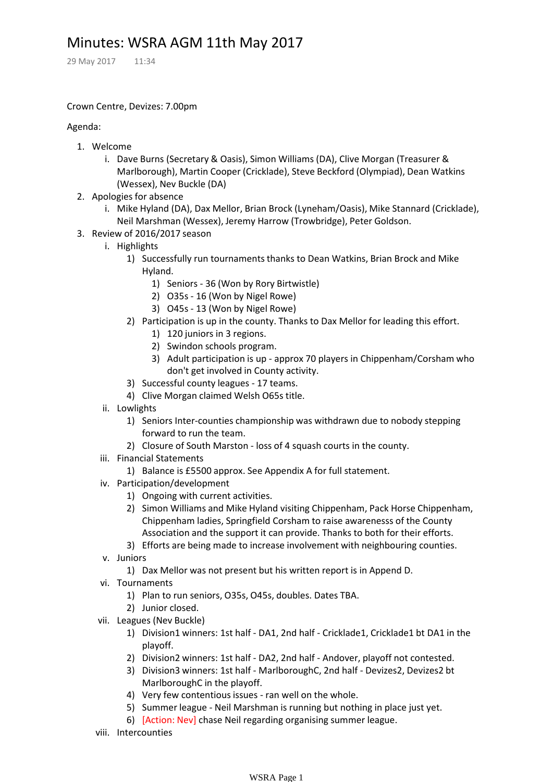# Minutes: WSRA AGM 11th May 2017

29 May 2017 11:34

### Crown Centre, Devizes: 7.00pm

### Agenda:

- 1. Welcome
	- i. Dave Burns (Secretary & Oasis), Simon Williams (DA), Clive Morgan (Treasurer & Marlborough), Martin Cooper (Cricklade), Steve Beckford (Olympiad), Dean Watkins (Wessex), Nev Buckle (DA)
- 2. Apologies for absence
	- Mike Hyland (DA), Dax Mellor, Brian Brock (Lyneham/Oasis), Mike Stannard (Cricklade), i. Neil Marshman (Wessex), Jeremy Harrow (Trowbridge), Peter Goldson.
- 3. Review of 2016/2017 season
	- i. Highlights
		- 1) Successfully run tournaments thanks to Dean Watkins, Brian Brock and Mike Hyland.
			- 1) Seniors 36 (Won by Rory Birtwistle)
			- 2) O35s 16 (Won by Nigel Rowe)
			- 3) O45s 13 (Won by Nigel Rowe)
		- 2) Participation is up in the county. Thanks to Dax Mellor for leading this effort.
			- 1) 120 juniors in 3 regions.
			- 2) Swindon schools program.
			- 3) Adult participation is up approx 70 players in Chippenham/Corsham who don't get involved in County activity.
		- 3) Successful county leagues 17 teams.
		- 4) Clive Morgan claimed Welsh O65s title.
	- ii. Lowlights
		- 1) Seniors Inter-counties championship was withdrawn due to nobody stepping forward to run the team.
		- 2) Closure of South Marston loss of 4 squash courts in the county.
	- iii. Financial Statements
		- 1) Balance is £5500 approx. See Appendix A for full statement.
	- iv. Participation/development
		- 1) Ongoing with current activities.
		- 2) Simon Williams and Mike Hyland visiting Chippenham, Pack Horse Chippenham, Chippenham ladies, Springfield Corsham to raise awarenesss of the County Association and the support it can provide. Thanks to both for their efforts.
		- 3) Efforts are being made to increase involvement with neighbouring counties.
	- v. Juniors
		- 1) Dax Mellor was not present but his written report is in Append D.
	- vi. Tournaments
		- 1) Plan to run seniors, O35s, O45s, doubles. Dates TBA.
		- 2) Junior closed.
	- vii. Leagues (Nev Buckle)
		- 1) Division1 winners: 1st half DA1, 2nd half Cricklade1, Cricklade1 bt DA1 in the playoff.
		- 2) Division2 winners: 1st half DA2, 2nd half Andover, playoff not contested.
		- 3) Division3 winners: 1st half MarlboroughC, 2nd half Devizes2, Devizes2 bt MarlboroughC in the playoff.
		- 4) Very few contentious issues ran well on the whole.
		- 5) Summer league Neil Marshman is running but nothing in place just yet.
		- 6) [Action: Nev] chase Neil regarding organising summer league.
	- viii. Intercounties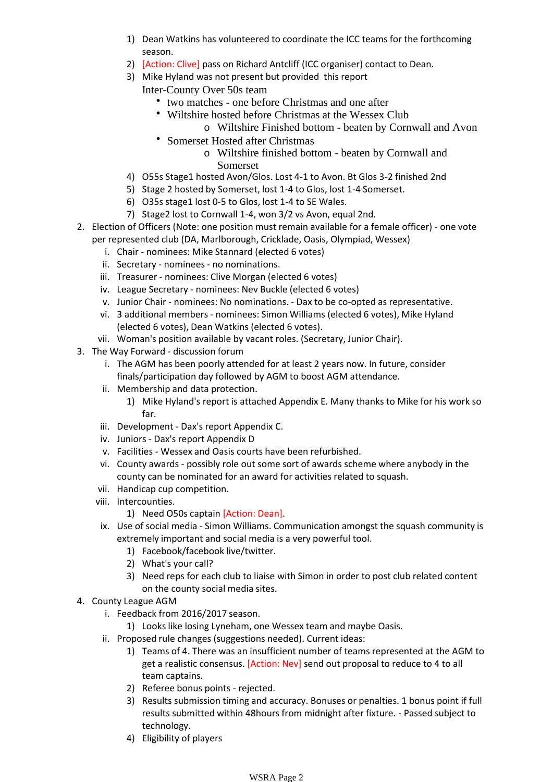- 1) Dean Watkins has volunteered to coordinate the ICC teams for the forthcoming season.
- 2) [Action: Clive] pass on Richard Antcliff (ICC organiser) contact to Dean.
- 3) Mike Hyland was not present but provided this report
	- Inter-County Over 50s team
		- two matches one before Christmas and one after
		- Wiltshire hosted before Christmas at the Wessex Club
		- o Wiltshire Finished bottom beaten by Cornwall and Avon
		- Somerset Hosted after Christmas
			- Wiltshire finished bottom beaten by Cornwall and o Somerset
- 4) O55s Stage1 hosted Avon/Glos. Lost 4-1 to Avon. Bt Glos 3-2 finished 2nd
- 5) Stage 2 hosted by Somerset, lost 1-4 to Glos, lost 1-4 Somerset.
- 6) O35s stage1 lost 0-5 to Glos, lost 1-4 to SE Wales.
- 7) Stage2 lost to Cornwall 1-4, won 3/2 vs Avon, equal 2nd.
- 2. Election of Officers (Note: one position must remain available for a female officer) one vote per represented club (DA, Marlborough, Cricklade, Oasis, Olympiad, Wessex)
	- i. Chair nominees: Mike Stannard (elected 6 votes)
	- ii. Secretary nominees no nominations.
	- iii. Treasurer nominees: Clive Morgan (elected 6 votes)
	- iv. League Secretary nominees: Nev Buckle (elected 6 votes)
	- v. Junior Chair nominees: No nominations. Dax to be co-opted as representative.
	- vi. 3 additional members nominees: Simon Williams (elected 6 votes), Mike Hyland (elected 6 votes), Dean Watkins (elected 6 votes).
	- vii. Woman's position available by vacant roles. (Secretary, Junior Chair).
- 3. The Way Forward discussion forum
	- i. The AGM has been poorly attended for at least 2 years now. In future, consider finals/participation day followed by AGM to boost AGM attendance.
	- ii. Membership and data protection.
		- Mike Hyland's report is attached Appendix E. Many thanks to Mike for his work so 1) far.
	- iii. Development Dax's report Appendix C.
	- iv. Juniors Dax's report Appendix D
	- v. Facilities Wessex and Oasis courts have been refurbished.
	- vi. County awards possibly role out some sort of awards scheme where anybody in the county can be nominated for an award for activities related to squash.
	- vii. Handicap cup competition.
	-
	- viii. Intercounties.<br>1) Need O50s captain [Action: Dean].
	- ix. Use of social media Simon Williams. Communication amongst the squash community is extremely important and social media is a very powerful tool.
		- 1) Facebook/facebook live/twitter.
		- 2) What's your call?
		- 3) Need reps for each club to liaise with Simon in order to post club related content on the county social media sites.
- 4. County League AGM
	- i. Feedback from 2016/2017 season.
		- 1) Looks like losing Lyneham, one Wessex team and maybe Oasis.
	- ii. Proposed rule changes (suggestions needed). Current ideas:
		- 1) Teams of 4. There was an insufficient number of teams represented at the AGM to get a realistic consensus. [Action: Nev] send out proposal to reduce to 4 to all team captains.
		- 2) Referee bonus points rejected.
		- 3) Results submission timing and accuracy. Bonuses or penalties. 1 bonus point if full results submitted within 48hours from midnight after fixture. - Passed subject to technology.
		- 4) Eligibility of players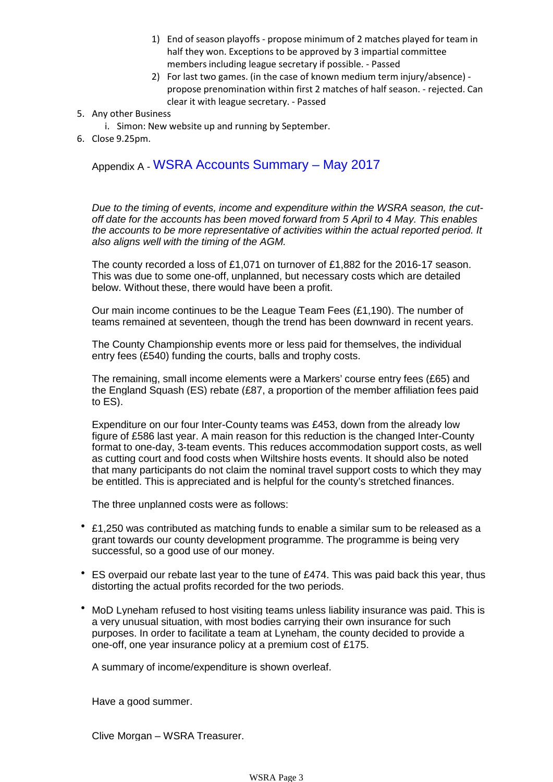- 1) End of season playoffs propose minimum of 2 matches played for team in half they won. Exceptions to be approved by 3 impartial committee members including league secretary if possible. - Passed
- 2) For last two games. (in the case of known medium term injury/absence) propose prenomination within first 2 matches of half season. - rejected. Can clear it with league secretary. - Passed
- 5. Any other Business
	- i. Simon: New website up and running by September.
- 6. Close 9.25pm.

# Appendix A - WSRA Accounts Summary – May 2017

*Due to the timing of events, income and expenditure within the WSRA season, the cut off date for the accounts has been moved forward from 5 April to 4 May. This enables the accounts to be more representative of activities within the actual reported period. It also aligns well with the timing of the AGM.*

The county recorded a loss of £1,071 on turnover of £1,882 for the 2016-17 season. This was due to some one-off, unplanned, but necessary costs which are detailed below. Without these, there would have been a profit.

Our main income continues to be the League Team Fees (£1,190). The number of teams remained at seventeen, though the trend has been downward in recent years.

The County Championship events more or less paid for themselves, the individual entry fees (£540) funding the courts, balls and trophy costs.

The remaining, small income elements were a Markers' course entry fees (£65) and the England Squash (ES) rebate (£87, a proportion of the member affiliation fees paid to ES).

Expenditure on our four Inter-County teams was £453, down from the already low figure of £586 last year. A main reason for this reduction is the changed Inter-County format to one-day, 3-team events. This reduces accommodation support costs, as well as cutting court and food costs when Wiltshire hosts events. It should also be noted that many participants do not claim the nominal travel support costs to which they may be entitled. This is appreciated and is helpful for the county's stretched finances.

The three unplanned costs were as follows:

- £1,250 was contributed as matching funds to enable a similar sum to be released as a grant towards our county development programme. The programme is being very successful, so a good use of our money.
- ES overpaid our rebate last year to the tune of £474. This was paid back this year, thus distorting the actual profits recorded for the two periods.
- MoD Lyneham refused to host visiting teams unless liability insurance was paid. This is a very unusual situation, with most bodies carrying their own insurance for such purposes. In order to facilitate a team at Lyneham, the county decided to provide a one-off, one year insurance policy at a premium cost of £175.

A summary of income/expenditure is shown overleaf.

Have a good summer.

Clive Morgan – WSRA Treasurer.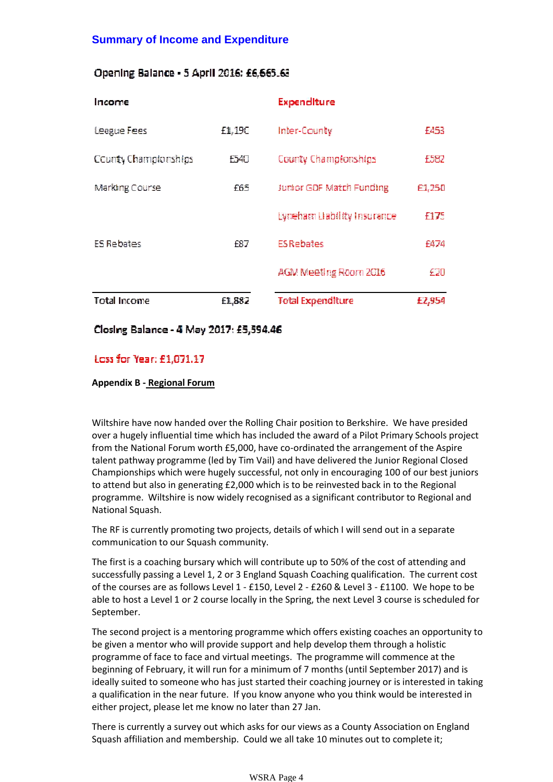# **Summary of Income and Expenditure**

## Opening Balance - 5 April 2016: £6,665.63

| Income               |        | Expenditure                 |        |
|----------------------|--------|-----------------------------|--------|
| League Fees          | £1,190 | Inter-County                | £453   |
| County Championships | F540   | County Championships        | f582   |
| Marking Course       | f65    | Junior GDF Match Funding    | £1,250 |
|                      |        | Eyneham Liability Insurance | f175   |
| ES Rebates           | F87    | <b>ES Rebates</b>           | F474   |
|                      |        | AGM Meeting Room 2016       | £20    |
| <b>Total Income</b>  | £1,882 | <b>Total Expenditure</b>    | £2,954 |

Closing Balance - 4 May 2017: £5,594.46

# Loss for Year: £1,071.17

### **Appendix B - Regional Forum**

Wiltshire have now handed over the Rolling Chair position to Berkshire. We have presided over a hugely influential time which has included the award of a Pilot Primary Schools project from the National Forum worth £5,000, have co-ordinated the arrangement of the Aspire talent pathway programme (led by Tim Vail) and have delivered the Junior Regional Closed Championships which were hugely successful, not only in encouraging 100 of our best juniors to attend but also in generating £2,000 which is to be reinvested back in to the Regional programme. Wiltshire is now widely recognised as a significant contributor to Regional and National Squash.

The RF is currently promoting two projects, details of which I will send out in a separate communication to our Squash community.

The first is a coaching bursary which will contribute up to 50% of the cost of attending and successfully passing a Level 1, 2 or 3 England Squash Coaching qualification. The current cost of the courses are as follows Level 1 - £150, Level 2 - £260 & Level 3 - £1100. We hope to be able to host a Level 1 or 2 course locally in the Spring, the next Level 3 course is scheduled for September.

The second project is a mentoring programme which offers existing coaches an opportunity to be given a mentor who will provide support and help develop them through a holistic programme of face to face and virtual meetings. The programme will commence at the beginning of February, it will run for a minimum of 7 months (until September 2017) and is ideally suited to someone who has just started their coaching journey or is interested in taking a qualification in the near future. If you know anyone who you think would be interested in either project, please let me know no later than 27 Jan.

There is currently a survey out which asks for our views as a County Association on England Squash affiliation and membership. Could we all take 10 minutes out to complete it;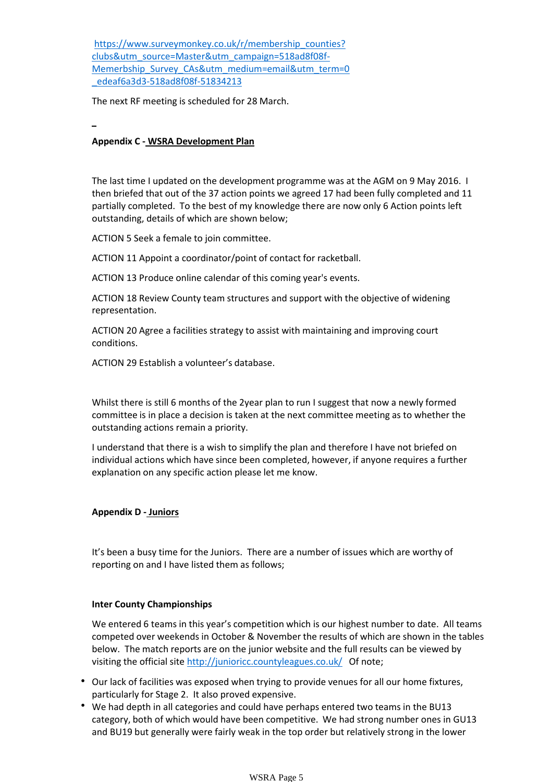https://www.surveymonkey.co.uk/r/membership\_counties? clubs&utm\_source=Master&utm\_campaign=518ad8f08f- Memerbship Survey CAs&utm\_medium=email&utm\_term=0 \_edeaf6a3d3-518ad8f08f-51834213

The next RF meeting is scheduled for 28 March.

### **Appendix C - WSRA Development Plan**

The last time I updated on the development programme was at the AGM on 9 May 2016. I then briefed that out of the 37 action points we agreed 17 had been fully completed and 11 partially completed. To the best of my knowledge there are now only 6 Action points left outstanding, details of which are shown below;

ACTION 5 Seek a female to join committee.

ACTION 11 Appoint a coordinator/point of contact for racketball.

ACTION 13 Produce online calendar of this coming year's events.

ACTION 18 Review County team structures and support with the objective of widening representation.

ACTION 20 Agree a facilities strategy to assist with maintaining and improving court conditions.

ACTION 29 Establish a volunteer's database.

Whilst there is still 6 months of the 2year plan to run I suggest that now a newly formed committee is in place a decision is taken at the next committee meeting as to whether the outstanding actions remain a priority.

I understand that there is a wish to simplify the plan and therefore I have not briefed on individual actions which have since been completed, however, if anyone requires a further explanation on any specific action please let me know.

### **Appendix D - Juniors**

It's been a busy time for the Juniors. There are a number of issues which are worthy of reporting on and I have listed them as follows;

### **Inter County Championships**

We entered 6 teams in this year's competition which is our highest number to date. All teams competed over weekends in October & November the results of which are shown in the tables below. The match reports are on the junior website and the full results can be viewed by visiting the official site http://junioricc.countyleagues.co.uk/ Of note;

- Our lack of facilities was exposed when trying to provide venues for all our home fixtures, particularly for Stage 2. It also proved expensive.
- We had depth in all categories and could have perhaps entered two teams in the BU13 category, both of which would have been competitive. We had strong number ones in GU13 and BU19 but generally were fairly weak in the top order but relatively strong in the lower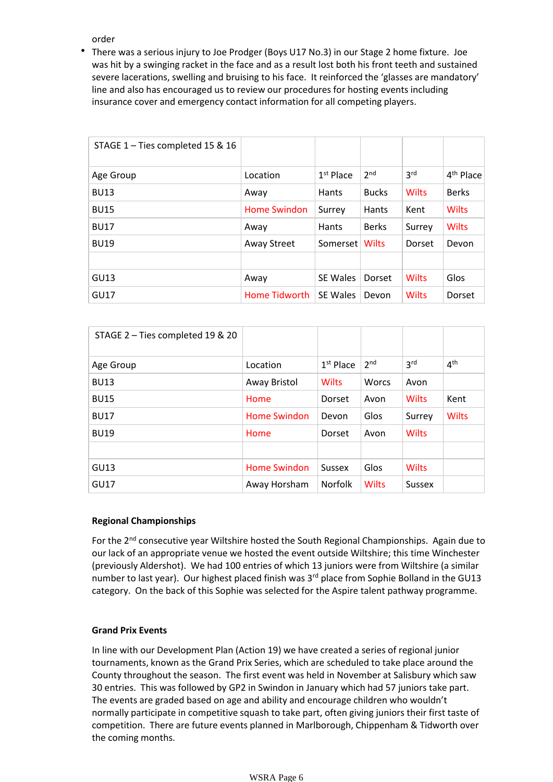order

There was a serious injury to Joe Prodger (Boys U17 No.3) in our Stage 2 home fixture. Joe was hit by a swinging racket in the face and as a result lost both his front teeth and sustained severe lacerations, swelling and bruising to his face. It reinforced the 'glasses are mandatory' line and also has encouraged us to review our procedures for hosting events including insurance cover and emergency contact information for all competing players.

| STAGE 1 - Ties completed 15 & 16 |                     |                 |                 |                 |                       |
|----------------------------------|---------------------|-----------------|-----------------|-----------------|-----------------------|
| Age Group                        | Location            | $1st$ Place     | 2 <sup>nd</sup> | 3 <sup>rd</sup> | 4 <sup>th</sup> Place |
| <b>BU13</b>                      | Away                | <b>Hants</b>    | <b>Bucks</b>    | <b>Wilts</b>    | <b>Berks</b>          |
| <b>BU15</b>                      | <b>Home Swindon</b> | Surrey          | Hants           | Kent            | <b>Wilts</b>          |
| <b>BU17</b>                      | Away                | <b>Hants</b>    | <b>Berks</b>    | Surrey          | <b>Wilts</b>          |
| <b>BU19</b>                      | <b>Away Street</b>  | Somerset        | Wilts           | Dorset          | Devon                 |
|                                  |                     |                 |                 |                 |                       |
| GU13                             | Away                | <b>SE Wales</b> | Dorset          | <b>Wilts</b>    | Glos                  |
| <b>GU17</b>                      | Home Tidworth       | SE Wales        | Devon           | <b>Wilts</b>    | Dorset                |

| STAGE 2 - Ties completed 19 & 20 |                     |                |                 |                 |                 |
|----------------------------------|---------------------|----------------|-----------------|-----------------|-----------------|
| Age Group                        | Location            | $1st$ Place    | 2 <sub>nd</sub> | 3 <sup>rd</sup> | 4 <sup>th</sup> |
| <b>BU13</b>                      | Away Bristol        | Wilts          | <b>Worcs</b>    | Avon            |                 |
| <b>BU15</b>                      | Home                | Dorset         | Avon            | Wilts           | Kent            |
| <b>BU17</b>                      | <b>Home Swindon</b> | Devon          | Glos            | Surrey          | <b>Wilts</b>    |
| <b>BU19</b>                      | Home                | Dorset         | Avon            | <b>Wilts</b>    |                 |
|                                  |                     |                |                 |                 |                 |
| GU13                             | <b>Home Swindon</b> | <b>Sussex</b>  | Glos            | <b>Wilts</b>    |                 |
| GU17                             | Away Horsham        | <b>Norfolk</b> | <b>Wilts</b>    | <b>Sussex</b>   |                 |

### **Regional Championships**

For the 2<sup>nd</sup> consecutive year Wiltshire hosted the South Regional Championships. Again due to our lack of an appropriate venue we hosted the event outside Wiltshire; this time Winchester (previously Aldershot). We had 100 entries of which 13 juniors were from Wiltshire (a similar number to last year). Our highest placed finish was 3<sup>rd</sup> place from Sophie Bolland in the GU13 category. On the back of this Sophie was selected for the Aspire talent pathway programme.

### **Grand Prix Events**

In line with our Development Plan (Action 19) we have created a series of regional junior tournaments, known as the Grand Prix Series, which are scheduled to take place around the County throughout the season. The first event was held in November at Salisbury which saw 30 entries. This was followed by GP2 in Swindon in January which had 57 juniors take part. The events are graded based on age and ability and encourage children who wouldn't normally participate in competitive squash to take part, often giving juniors their first taste of competition. There are future events planned in Marlborough, Chippenham & Tidworth over the coming months.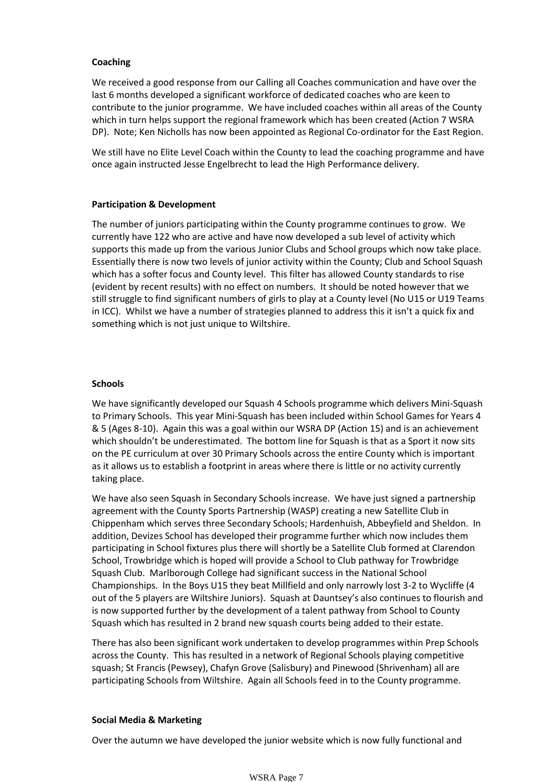#### **Coaching**

We received a good response from our Calling all Coaches communication and have over the last 6 months developed a significant workforce of dedicated coaches who are keen to contribute to the junior programme. We have included coaches within all areas of the County which in turn helps support the regional framework which has been created (Action 7 WSRA DP). Note; Ken Nicholls has now been appointed as Regional Co-ordinator for the East Region.

We still have no Elite Level Coach within the County to lead the coaching programme and have once again instructed Jesse Engelbrecht to lead the High Performance delivery.

#### **Participation & Development**

The number of juniors participating within the County programme continues to grow. We currently have 122 who are active and have now developed a sub level of activity which supports this made up from the various Junior Clubs and School groups which now take place. Essentially there is now two levels of junior activity within the County; Club and School Squash which has a softer focus and County level. This filter has allowed County standards to rise (evident by recent results) with no effect on numbers. It should be noted however that we still struggle to find significant numbers of girls to play at a County level (No U15 or U19 Teams in ICC). Whilst we have a number of strategies planned to address this it isn't a quick fix and something which is not just unique to Wiltshire.

#### **Schools**

We have significantly developed our Squash 4 Schools programme which delivers Mini-Squash to Primary Schools. This year Mini-Squash has been included within School Games for Years 4 & 5 (Ages 8-10). Again this was a goal within our WSRA DP (Action 15) and is an achievement which shouldn't be underestimated. The bottom line for Squash is that as a Sport it now sits on the PE curriculum at over 30 Primary Schools across the entire County which is important as it allows us to establish a footprint in areas where there is little or no activity currently taking place.

We have also seen Squash in Secondary Schools increase. We have just signed a partnership agreement with the County Sports Partnership (WASP) creating a new Satellite Club in Chippenham which serves three Secondary Schools; Hardenhuish, Abbeyfield and Sheldon. In addition, Devizes School has developed their programme further which now includes them participating in School fixtures plus there will shortly be a Satellite Club formed at Clarendon School, Trowbridge which is hoped will provide a School to Club pathway for Trowbridge Squash Club. Marlborough College had significant success in the National School Championships. In the Boys U15 they beat Millfield and only narrowly lost 3-2 to Wycliffe (4 out of the 5 players are Wiltshire Juniors). Squash at Dauntsey's also continues to flourish and is now supported further by the development of a talent pathway from School to County Squash which has resulted in 2 brand new squash courts being added to their estate.

There has also been significant work undertaken to develop programmes within Prep Schools across the County. This has resulted in a network of Regional Schools playing competitive squash; St Francis (Pewsey), Chafyn Grove (Salisbury) and Pinewood (Shrivenham) all are participating Schools from Wiltshire. Again all Schools feed in to the County programme.

### **Social Media & Marketing**

Over the autumn we have developed the junior website which is now fully functional and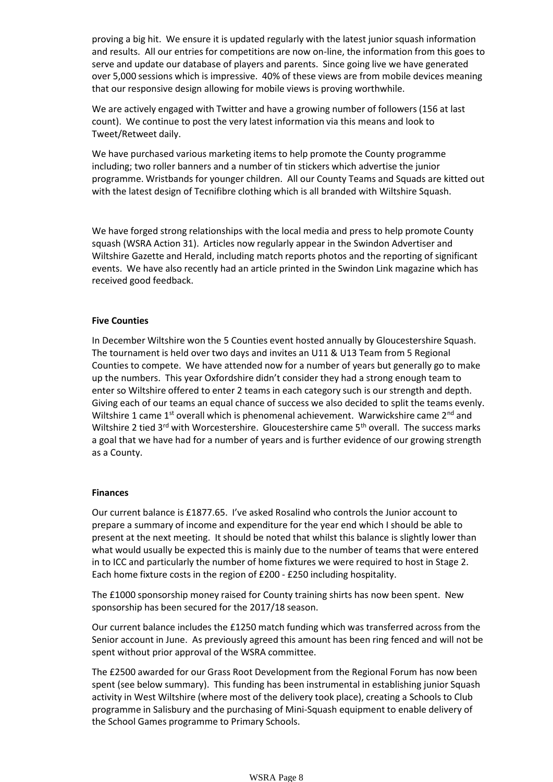proving a big hit. We ensure it is updated regularly with the latest junior squash information and results. All our entries for competitions are now on-line, the information from this goes to serve and update our database of players and parents. Since going live we have generated over 5,000 sessions which is impressive. 40% of these views are from mobile devices meaning that our responsive design allowing for mobile views is proving worthwhile.

We are actively engaged with Twitter and have a growing number of followers (156 at last count). We continue to post the very latest information via this means and look to Tweet/Retweet daily.

We have purchased various marketing items to help promote the County programme including; two roller banners and a number of tin stickers which advertise the junior programme. Wristbands for younger children. All our County Teams and Squads are kitted out with the latest design of Tecnifibre clothing which is all branded with Wiltshire Squash.

We have forged strong relationships with the local media and press to help promote County squash (WSRA Action 31). Articles now regularly appear in the Swindon Advertiser and Wiltshire Gazette and Herald, including match reports photos and the reporting of significant events. We have also recently had an article printed in the Swindon Link magazine which has received good feedback.

#### **Five Counties**

In December Wiltshire won the 5 Counties event hosted annually by Gloucestershire Squash. The tournament is held over two days and invites an U11 & U13 Team from 5 Regional Counties to compete. We have attended now for a number of years but generally go to make up the numbers. This year Oxfordshire didn't consider they had a strong enough team to enter so Wiltshire offered to enter 2 teams in each category such is our strength and depth. Giving each of our teams an equal chance of success we also decided to split the teams evenly. Wiltshire 1 came 1<sup>st</sup> overall which is phenomenal achievement. Warwickshire came 2<sup>nd</sup> and Wiltshire 2 tied  $3^{rd}$  with Worcestershire. Gloucestershire came  $5^{th}$  overall. The success marks a goal that we have had for a number of years and is further evidence of our growing strength as a County.

#### **Finances**

Our current balance is £1877.65. I've asked Rosalind who controls the Junior account to prepare a summary of income and expenditure for the year end which I should be able to present at the next meeting. It should be noted that whilst this balance is slightly lower than what would usually be expected this is mainly due to the number of teams that were entered in to ICC and particularly the number of home fixtures we were required to host in Stage 2. Each home fixture costs in the region of £200 - £250 including hospitality.

The £1000 sponsorship money raised for County training shirts has now been spent. New sponsorship has been secured for the 2017/18 season.

Our current balance includes the £1250 match funding which was transferred across from the Senior account in June. As previously agreed this amount has been ring fenced and will not be spent without prior approval of the WSRA committee.

The £2500 awarded for our Grass Root Development from the Regional Forum has now been spent (see below summary). This funding has been instrumental in establishing junior Squash activity in West Wiltshire (where most of the delivery took place), creating a Schools to Club programme in Salisbury and the purchasing of Mini-Squash equipment to enable delivery of the School Games programme to Primary Schools.